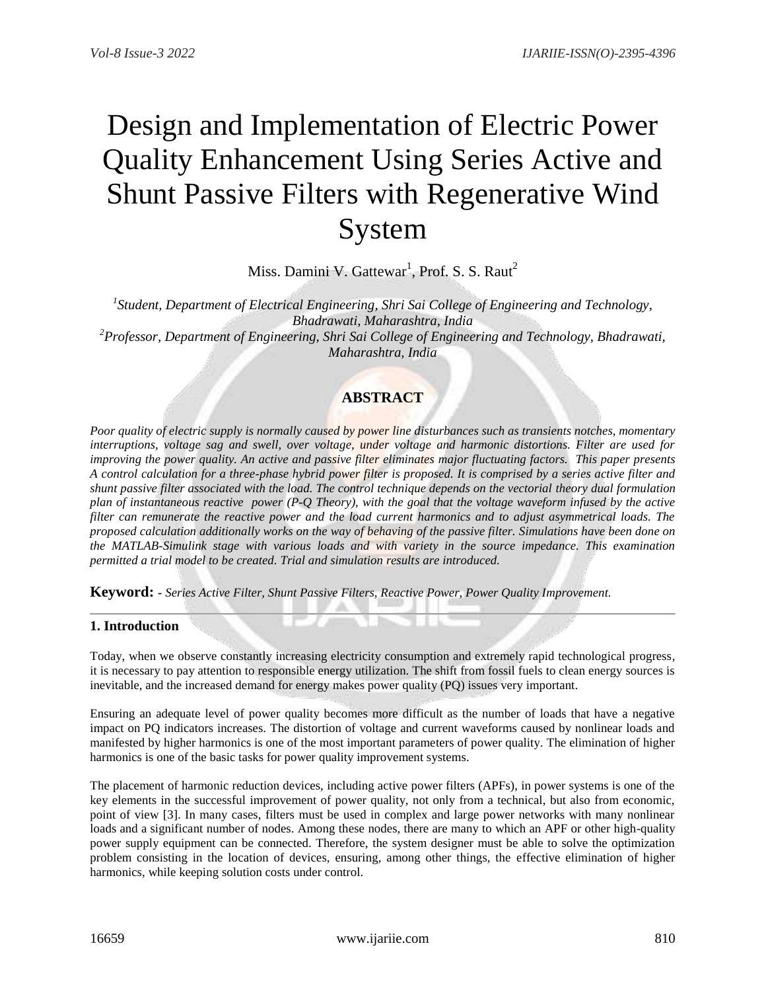# Design and Implementation of Electric Power Quality Enhancement Using Series Active and Shunt Passive Filters with Regenerative Wind System

Miss. Damini V. Gattewar<sup>1</sup>, Prof. S. S. Raut<sup>2</sup>

*1 Student, Department of Electrical Engineering, Shri Sai College of Engineering and Technology, Bhadrawati, Maharashtra, India <sup>2</sup>Professor, Department of Engineering, Shri Sai College of Engineering and Technology, Bhadrawati, Maharashtra, India*

## **ABSTRACT**

*Poor quality of electric supply is normally caused by power line disturbances such as transients notches, momentary interruptions, voltage sag and swell, over voltage, under voltage and harmonic distortions. Filter are used for improving the power quality. An active and passive filter eliminates major fluctuating factors. This paper presents A control calculation for a three-phase hybrid power filter is proposed. It is comprised by a series active filter and shunt passive filter associated with the load. The control technique depends on the vectorial theory dual formulation plan of instantaneous reactive power (P-Q Theory), with the goal that the voltage waveform infused by the active filter can remunerate the reactive power and the load current harmonics and to adjust asymmetrical loads. The proposed calculation additionally works on the way of behaving of the passive filter. Simulations have been done on the MATLAB-Simulink stage with various loads and with variety in the source impedance. This examination permitted a trial model to be created. Trial and simulation results are introduced.*

**Keyword: -** *Series Active Filter, Shunt Passive Filters, Reactive Power, Power Quality Improvement.*

### **1. Introduction**

Today, when we observe constantly increasing electricity consumption and extremely rapid technological progress, it is necessary to pay attention to responsible energy utilization. The shift from fossil fuels to clean energy sources is inevitable, and the increased demand for energy makes power quality (PQ) issues very important.

Ensuring an adequate level of power quality becomes more difficult as the number of loads that have a negative impact on PQ indicators increases. The distortion of voltage and current waveforms caused by nonlinear loads and manifested by higher harmonics is one of the most important parameters of power quality. The elimination of higher harmonics is one of the basic tasks for power quality improvement systems.

The placement of harmonic reduction devices, including active power filters (APFs), in power systems is one of the key elements in the successful improvement of power quality, not only from a technical, but also from economic, point of view [3]. In many cases, filters must be used in complex and large power networks with many nonlinear loads and a significant number of nodes. Among these nodes, there are many to which an APF or other high-quality power supply equipment can be connected. Therefore, the system designer must be able to solve the optimization problem consisting in the location of devices, ensuring, among other things, the effective elimination of higher harmonics, while keeping solution costs under control.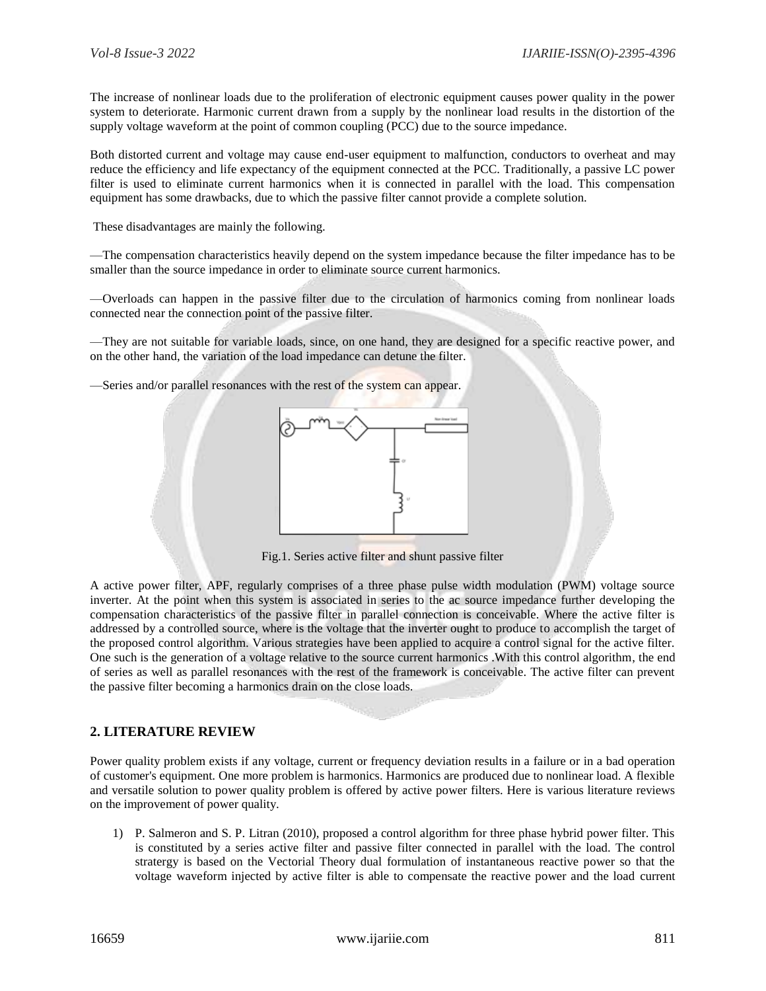The increase of nonlinear loads due to the proliferation of electronic equipment causes power quality in the power system to deteriorate. Harmonic current drawn from a supply by the nonlinear load results in the distortion of the supply voltage waveform at the point of common coupling (PCC) due to the source impedance.

Both distorted current and voltage may cause end-user equipment to malfunction, conductors to overheat and may reduce the efficiency and life expectancy of the equipment connected at the PCC. Traditionally, a passive LC power filter is used to eliminate current harmonics when it is connected in parallel with the load. This compensation equipment has some drawbacks, due to which the passive filter cannot provide a complete solution.

These disadvantages are mainly the following.

—The compensation characteristics heavily depend on the system impedance because the filter impedance has to be smaller than the source impedance in order to eliminate source current harmonics.

—Overloads can happen in the passive filter due to the circulation of harmonics coming from nonlinear loads connected near the connection point of the passive filter.

—They are not suitable for variable loads, since, on one hand, they are designed for a specific reactive power, and on the other hand, the variation of the load impedance can detune the filter.

-Series and/or parallel resonances with the rest of the system can appear.



Fig.1. Series active filter and shunt passive filter

A active power filter, APF, regularly comprises of a three phase pulse width modulation (PWM) voltage source inverter. At the point when this system is associated in series to the ac source impedance further developing the compensation characteristics of the passive filter in parallel connection is conceivable. Where the active filter is addressed by a controlled source, where is the voltage that the inverter ought to produce to accomplish the target of the proposed control algorithm. Various strategies have been applied to acquire a control signal for the active filter. One such is the generation of a voltage relative to the source current harmonics .With this control algorithm, the end of series as well as parallel resonances with the rest of the framework is conceivable. The active filter can prevent the passive filter becoming a harmonics drain on the close loads.

#### **2. LITERATURE REVIEW**

Power quality problem exists if any voltage, current or frequency deviation results in a failure or in a bad operation of customer's equipment. One more problem is harmonics. Harmonics are produced due to nonlinear load. A flexible and versatile solution to power quality problem is offered by active power filters. Here is various literature reviews on the improvement of power quality.

1) P. Salmeron and S. P. Litran (2010), proposed a control algorithm for three phase hybrid power filter. This is constituted by a series active filter and passive filter connected in parallel with the load. The control stratergy is based on the Vectorial Theory dual formulation of instantaneous reactive power so that the voltage waveform injected by active filter is able to compensate the reactive power and the load current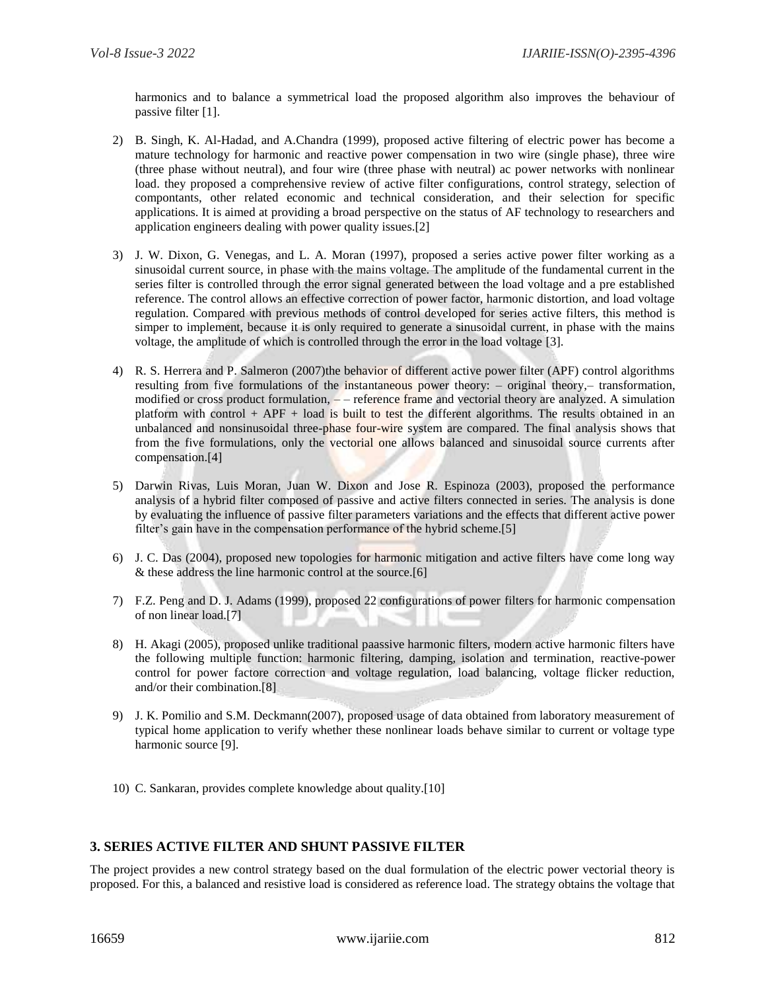harmonics and to balance a symmetrical load the proposed algorithm also improves the behaviour of passive filter [1].

- 2) B. Singh, K. Al-Hadad, and A.Chandra (1999), proposed active filtering of electric power has become a mature technology for harmonic and reactive power compensation in two wire (single phase), three wire (three phase without neutral), and four wire (three phase with neutral) ac power networks with nonlinear load. they proposed a comprehensive review of active filter configurations, control strategy, selection of compontants, other related economic and technical consideration, and their selection for specific applications. It is aimed at providing a broad perspective on the status of AF technology to researchers and application engineers dealing with power quality issues.[2]
- 3) J. W. Dixon, G. Venegas, and L. A. Moran (1997), proposed a series active power filter working as a sinusoidal current source, in phase with the mains voltage. The amplitude of the fundamental current in the series filter is controlled through the error signal generated between the load voltage and a pre established reference. The control allows an effective correction of power factor, harmonic distortion, and load voltage regulation. Compared with previous methods of control developed for series active filters, this method is simper to implement, because it is only required to generate a sinusoidal current, in phase with the mains voltage, the amplitude of which is controlled through the error in the load voltage [3].
- 4) R. S. Herrera and P. Salmeron (2007)the behavior of different active power filter (APF) control algorithms resulting from five formulations of the instantaneous power theory: – original theory,– transformation, modified or cross product formulation,  $-$  – reference frame and vectorial theory are analyzed. A simulation platform with control  $+$  APF  $+$  load is built to test the different algorithms. The results obtained in an unbalanced and nonsinusoidal three-phase four-wire system are compared. The final analysis shows that from the five formulations, only the vectorial one allows balanced and sinusoidal source currents after compensation.[4]
- 5) Darwin Rivas, Luis Moran, Juan W. Dixon and Jose R. Espinoza (2003), proposed the performance analysis of a hybrid filter composed of passive and active filters connected in series. The analysis is done by evaluating the influence of passive filter parameters variations and the effects that different active power filter's gain have in the compensation performance of the hybrid scheme.[5]
- 6) J. C. Das (2004), proposed new topologies for harmonic mitigation and active filters have come long way & these address the line harmonic control at the source.[6]
- 7) F.Z. Peng and D. J. Adams (1999), proposed 22 configurations of power filters for harmonic compensation of non linear load.[7]
- 8) H. Akagi (2005), proposed unlike traditional paassive harmonic filters, modern active harmonic filters have the following multiple function: harmonic filtering, damping, isolation and termination, reactive-power control for power factore correction and voltage regulation, load balancing, voltage flicker reduction, and/or their combination.[8]
- 9) J. K. Pomilio and S.M. Deckmann(2007), proposed usage of data obtained from laboratory measurement of typical home application to verify whether these nonlinear loads behave similar to current or voltage type harmonic source [9].
- 10) C. Sankaran, provides complete knowledge about quality.[10]

#### **3. SERIES ACTIVE FILTER AND SHUNT PASSIVE FILTER**

The project provides a new control strategy based on the dual formulation of the electric power vectorial theory is proposed. For this, a balanced and resistive load is considered as reference load. The strategy obtains the voltage that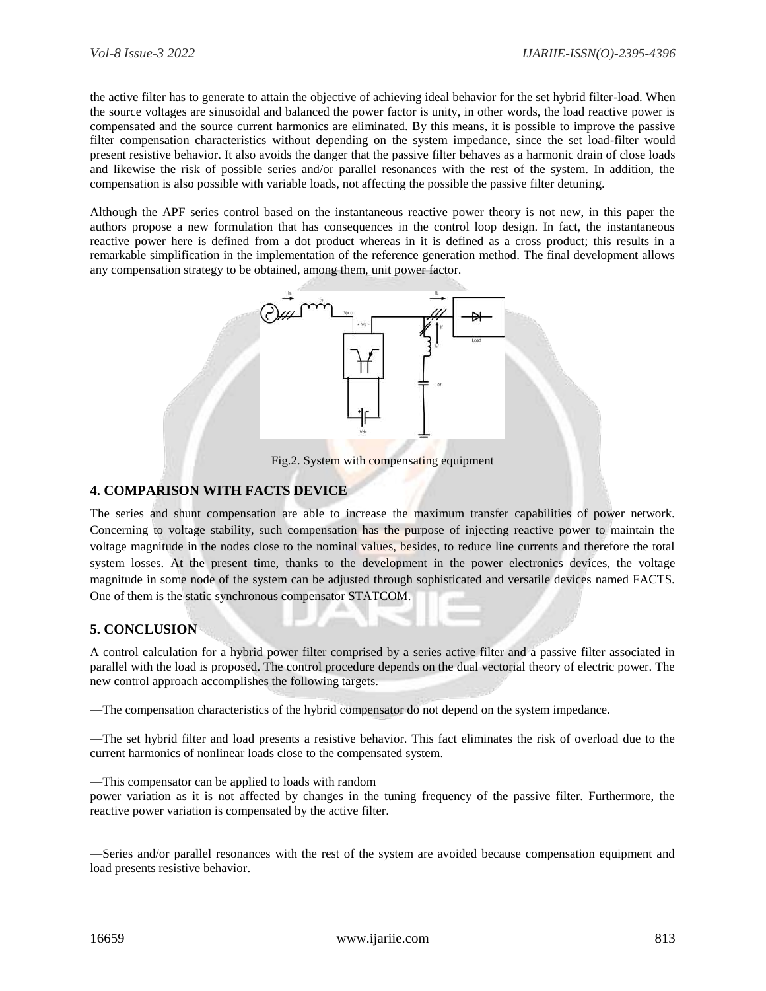the active filter has to generate to attain the objective of achieving ideal behavior for the set hybrid filter-load. When the source voltages are sinusoidal and balanced the power factor is unity, in other words, the load reactive power is compensated and the source current harmonics are eliminated. By this means, it is possible to improve the passive filter compensation characteristics without depending on the system impedance, since the set load-filter would present resistive behavior. It also avoids the danger that the passive filter behaves as a harmonic drain of close loads and likewise the risk of possible series and/or parallel resonances with the rest of the system. In addition, the compensation is also possible with variable loads, not affecting the possible the passive filter detuning.

Although the APF series control based on the instantaneous reactive power theory is not new, in this paper the authors propose a new formulation that has consequences in the control loop design. In fact, the instantaneous reactive power here is defined from a dot product whereas in it is defined as a cross product; this results in a remarkable simplification in the implementation of the reference generation method. The final development allows any compensation strategy to be obtained, among them, unit power factor.



Fig.2. System with compensating equipment

#### **4. COMPARISON WITH FACTS DEVICE**

The series and shunt compensation are able to increase the maximum transfer capabilities of power network. Concerning to voltage stability, such compensation has the purpose of injecting reactive power to maintain the voltage magnitude in the nodes close to the nominal values, besides, to reduce line currents and therefore the total system losses. At the present time, thanks to the development in the power electronics devices, the voltage magnitude in some node of the system can be adjusted through sophisticated and versatile devices named FACTS. One of them is the static synchronous compensator STATCOM.

#### **5. CONCLUSION**

A control calculation for a hybrid power filter comprised by a series active filter and a passive filter associated in parallel with the load is proposed. The control procedure depends on the dual vectorial theory of electric power. The new control approach accomplishes the following targets.

—The compensation characteristics of the hybrid compensator do not depend on the system impedance.

—The set hybrid filter and load presents a resistive behavior. This fact eliminates the risk of overload due to the current harmonics of nonlinear loads close to the compensated system.

—This compensator can be applied to loads with random

power variation as it is not affected by changes in the tuning frequency of the passive filter. Furthermore, the reactive power variation is compensated by the active filter.

—Series and/or parallel resonances with the rest of the system are avoided because compensation equipment and load presents resistive behavior.